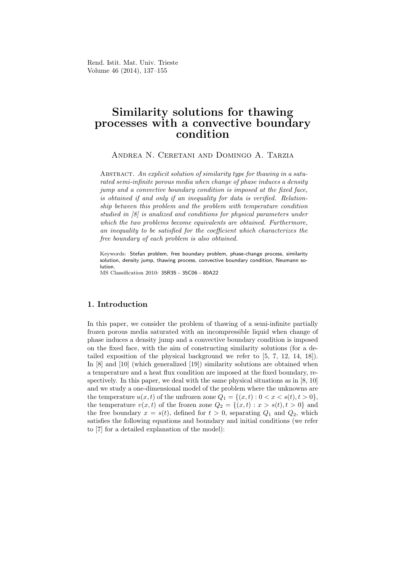Rend. Istit. Mat. Univ. Trieste Volume 46 (2014), 137–155

# Similarity solutions for thawing processes with a convective boundary condition

Andrea N. Ceretani and Domingo A. Tarzia

ABSTRACT. An explicit solution of similarity type for thawing in a saturated semi-infinite porous media when change of phase induces a density jump and a convective boundary condition is imposed at the fixed face, is obtained if and only if an inequality for data is verified. Relationship between this problem and the problem with temperature condition studied in [8] is analized and conditions for physical parameters under which the two problems become equivalents are obtained. Furthermore, an inequality to be satisfied for the coefficient which characterizes the free boundary of each problem is also obtained.

Keywords: Stefan problem, free boundary problem, phase-change process, similarity solution, density jump, thawing process, convective boundary condition, Neumann solution.

MS Classification 2010: 35R35 - 35C06 - 80A22

### 1. Introduction

In this paper, we consider the problem of thawing of a semi-infinite partially frozen porous media saturated with an incompressible liquid when change of phase induces a density jump and a convective boundary condition is imposed on the fixed face, with the aim of constructing similarity solutions (for a detailed exposition of the physical background we refer to [5, 7, 12, 14, 18]). In [8] and [10] (which generalized [19]) similarity solutions are obtained when a temperature and a heat flux condition are imposed at the fixed boundary, respectively. In this paper, we deal with the same physical situations as in [8, 10] and we study a one-dimensional model of the problem where the unknowns are the temperature  $u(x, t)$  of the unfrozen zone  $Q_1 = \{(x, t): 0 < x < s(t), t > 0\}$ , the temperature  $v(x, t)$  of the frozen zone  $Q_2 = \{(x, t) : x > s(t), t > 0\}$  and the free boundary  $x = s(t)$ , defined for  $t > 0$ , separating  $Q_1$  and  $Q_2$ , which satisfies the following equations and boundary and initial conditions (we refer to [7] for a detailed explanation of the model):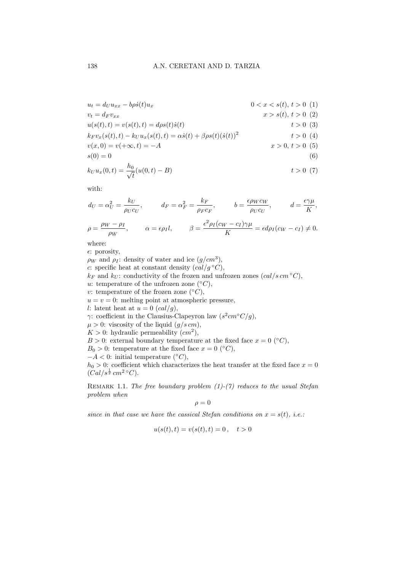$$
u_{t} = d_{U}u_{xx} - b\rho\dot{s}(t)u_{x}
$$
  
\n
$$
v_{t} = d_{F}v_{xx}
$$
  
\n
$$
u(s(t), t) = v(s(t), t) = d\rho s(t)\dot{s}(t)
$$
  
\n
$$
k_{F}v_{x}(s(t), t) - k_{U}u_{x}(s(t), t) = \alpha\dot{s}(t) + \beta\rho s(t)(\dot{s}(t))^{2}
$$
  
\n
$$
v(x, 0) = v(+\infty, t) = -A
$$
  
\n
$$
s(0) = 0
$$
  
\n
$$
s(0) = 0
$$
  
\n
$$
v(6)
$$

$$
k_U u_x(0,t) = \frac{h_0}{\sqrt{t}} (u(0,t) - B) \qquad t > 0 \tag{7}
$$

with:

$$
d_U = \alpha_U^2 = \frac{k_U}{\rho_U c_U}, \qquad d_F = \alpha_F^2 = \frac{k_F}{\rho_F c_F}, \qquad b = \frac{\epsilon \rho_W c_W}{\rho_U c_U}, \qquad d = \frac{\epsilon \gamma \mu}{K},
$$

$$
\rho = \frac{\rho_W - \rho_I}{\rho_W}, \qquad \alpha = \epsilon \rho_I l, \qquad \beta = \frac{\epsilon^2 \rho_I (c_W - c_I) \gamma \mu}{K} = \epsilon d \rho_I (c_W - c_I) \neq 0.
$$

where:

 $\epsilon$ : porosity,

 $\rho_W$  and  $\rho_I$ : density of water and ice  $(g/cm^3)$ , c: specific heat at constant density  $\left(\frac{cal/g \circ C}{},\right)$  $k_F$  and  $k_U$ : conductivity of the frozen and unfrozen zones  $(cal/s \, cm \, ^\circ C),$ u: temperature of the unfrozen zone  $({}^{\circ}C),$ v: temperature of the frozen zone  $({}^{\circ}C),$  $u = v = 0$ : melting point at atmospheric pressure, l: latent heat at  $u = 0$   $\left(\frac{cal}{q}\right)$ , γ: coefficient in the Clausius-Clapeyron law  $(s^2 cm \degree C/g)$ ,  $\mu > 0$ : viscosity of the liquid  $(g/s \, cm)$ ,  $K > 0$ : hydraulic permeability  $(cm<sup>2</sup>)$ ,  $B > 0$ : external boundary temperature at the fixed face  $x = 0$  (°C),  $B_0 > 0$ : temperature at the fixed face  $x = 0$  (°C),  $-A < 0$ : initial temperature (°C),  $h_0 > 0$ : coefficient which characterizes the heat transfer at the fixed face  $x = 0$  $(Cal/s^{\frac{1}{2}}cm^2 \degree C).$ 

REMARK 1.1. The free boundary problem  $(1)-(7)$  reduces to the usual Stefan problem when

$$
\rho = 0
$$

since in that case we have the cassical Stefan conditions on  $x = s(t)$ , i.e.:

$$
u(s(t),t) = v(s(t),t) = 0, \quad t > 0
$$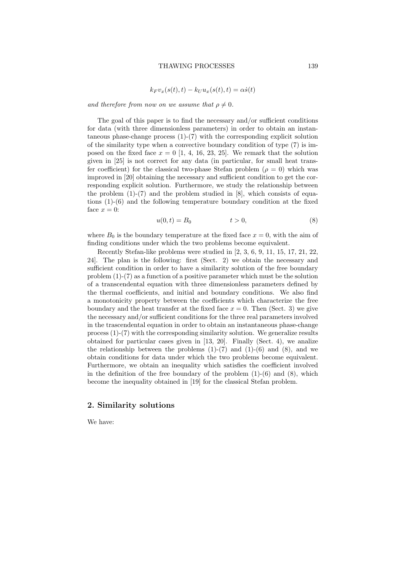$$
k_F v_x(s(t),t) - k_U u_x(s(t),t) = \alpha \dot{s}(t)
$$

and therefore from now on we assume that  $\rho \neq 0$ .

The goal of this paper is to find the necessary and/or sufficient conditions for data (with three dimensionless parameters) in order to obtain an instantaneous phase-change process  $(1)-(7)$  with the corresponding explicit solution of the similarity type when a convective boundary condition of type (7) is imposed on the fixed face  $x = 0$  [1, 4, 16, 23, 25]. We remark that the solution given in [25] is not correct for any data (in particular, for small heat transfer coefficient) for the classical two-phase Stefan problem ( $\rho = 0$ ) which was improved in [20] obtaining the necessary and sufficient condition to get the corresponding explicit solution. Furthermore, we study the relationship between the problem  $(1)-(7)$  and the problem studied in [8], which consists of equations (1)-(6) and the following temperature boundary condition at the fixed face  $x = 0$ :

$$
u(0,t) = B_0 \qquad \qquad t > 0,\tag{8}
$$

where  $B_0$  is the boundary temperature at the fixed face  $x = 0$ , with the aim of finding conditions under which the two problems become equivalent.

Recently Stefan-like problems were studied in [2, 3, 6, 9, 11, 15, 17, 21, 22, 24]. The plan is the following: first (Sect. 2) we obtain the necessary and sufficient condition in order to have a similarity solution of the free boundary problem (1)-(7) as a function of a positive parameter which must be the solution of a transcendental equation with three dimensionless parameters defined by the thermal coefficients, and initial and boundary conditions. We also find a monotonicity property between the coefficients which characterize the free boundary and the heat transfer at the fixed face  $x = 0$ . Then (Sect. 3) we give the necessary and/or sufficient conditions for the three real parameters involved in the trascendental equation in order to obtain an instantaneous phase-change process (1)-(7) with the corresponding similarity solution. We generalize results obtained for particular cases given in [13, 20]. Finally (Sect. 4), we analize the relationship between the problems  $(1)-(7)$  and  $(1)-(6)$  and  $(8)$ , and we obtain conditions for data under which the two problems become equivalent. Furthermore, we obtain an inequality which satisfies the coefficient involved in the definition of the free boundary of the problem  $(1)-(6)$  and  $(8)$ , which become the inequality obtained in [19] for the classical Stefan problem.

### 2. Similarity solutions

We have: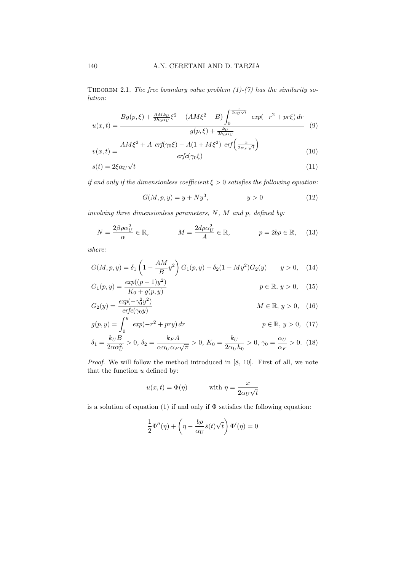THEOREM 2.1. The free boundary value problem  $(1)-(7)$  has the similarity solution:

$$
u(x,t) = \frac{Bg(p,\xi) + \frac{AMk_U}{2h_0\alpha_U}\xi^2 + (AM\xi^2 - B)\int_0^{\frac{x}{2\alpha_U\sqrt{t}}}exp(-r^2 + pr\xi) dr}{g(p,\xi) + \frac{k_U}{2h_0\alpha_U}} \tag{9}
$$

$$
v(x,t) = \frac{AM\xi^2 + A \, erf(\gamma_0\xi) - A(1 + M\xi^2) \, erf\left(\frac{x}{2\alpha_F\sqrt{t}}\right)}{erfc(\gamma_0\xi)}
$$
(10)

$$
s(t) = 2\xi \alpha_U \sqrt{t} \tag{11}
$$

if and only if the dimensionless coefficient  $\xi > 0$  satisfies the following equation:

$$
G(M, p, y) = y + Ny^3, \t\t y > 0 \t\t(12)
$$

involving three dimensionless parameters,  $N$ ,  $M$  and  $p$ , defined by:

$$
N = \frac{2\beta\rho\alpha_U^2}{\alpha} \in \mathbb{R}, \qquad M = \frac{2d\rho\alpha_U^2}{A} \in \mathbb{R}, \qquad p = 2b\rho \in \mathbb{R}, \qquad (13)
$$

where:

$$
G(M, p, y) = \delta_1 \left( 1 - \frac{AM}{B} y^2 \right) G_1(p, y) - \delta_2 (1 + My^2) G_2(y) \qquad y > 0,\tag{14}
$$
\n
$$
G(M, p, y) = \delta_1 \left( 1 - \frac{AM}{B} y^2 \right) G_1(p, y) - \delta_2 (1 + My^2) G_2(y)
$$

$$
G_1(p, y) = \frac{\exp((p-1)y^2)}{K_0 + g(p, y)}
$$
  $p \in \mathbb{R}, y > 0,$  (15)

$$
G_2(y) = \frac{\exp(-\gamma_0^2 y^2)}{\operatorname{erfc}(\gamma_0 y)} \qquad M \in \mathbb{R}, y > 0, \quad (16)
$$

$$
g(p, y) = \int_0^y exp(-r^2 + pry) dr
$$
  
\n
$$
p \in \mathbb{R}, y > 0, (17)
$$
  
\n
$$
k_B A
$$
  
\n
$$
p = \mathbb{R}, y > 0, (17)
$$

$$
\delta_1 = \frac{k_U B}{2\alpha \alpha_U^2} > 0, \ \delta_2 = \frac{k_F A}{\alpha \alpha_U \alpha_F \sqrt{\pi}} > 0, \ K_0 = \frac{k_U}{2\alpha_U h_0} > 0, \ \gamma_0 = \frac{\alpha_U}{\alpha_F} > 0. \tag{18}
$$

Proof. We will follow the method introduced in [8, 10]. First of all, we note that the function  $u$  defined by:

$$
u(x,t) = \Phi(\eta)
$$
 with  $\eta = \frac{x}{2\alpha_U\sqrt{t}}$ 

is a solution of equation (1) if and only if  $\Phi$  satisfies the following equation:

$$
\frac{1}{2}\Phi''(\eta) + \left(\eta - \frac{b\rho}{\alpha_U}\dot{s}(t)\sqrt{t}\right)\Phi'(\eta) = 0
$$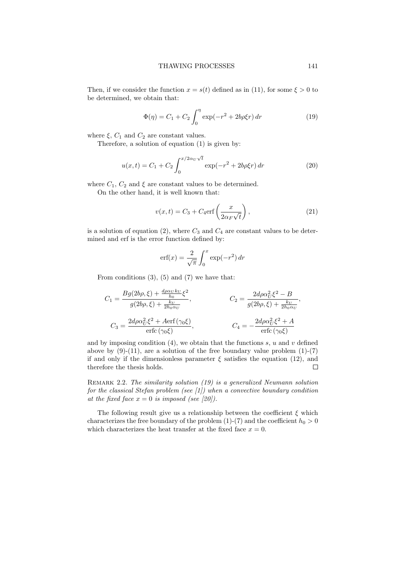Then, if we consider the function  $x = s(t)$  defined as in (11), for some  $\xi > 0$  to be determined, we obtain that:

$$
\Phi(\eta) = C_1 + C_2 \int_0^{\eta} \exp(-r^2 + 2b\rho \xi r) dr \tag{19}
$$

where  $\xi$ ,  $C_1$  and  $C_2$  are constant values.

Therefore, a solution of equation (1) is given by:

$$
u(x,t) = C_1 + C_2 \int_0^{x/2\alpha_U \sqrt{t}} \exp(-r^2 + 2b\rho \xi r) dr
$$
 (20)

where  $C_1$ ,  $C_2$  and  $\xi$  are constant values to be determined.

On the other hand, it is well known that:

$$
v(x,t) = C_3 + C_4 \text{erf}\left(\frac{x}{2\alpha_F \sqrt{t}}\right),\tag{21}
$$

is a solution of equation (2), where  $C_3$  and  $C_4$  are constant values to be determined and erf is the error function defined by:

$$
\operatorname{erf}(x) = \frac{2}{\sqrt{\pi}} \int_0^x \exp(-r^2) \, dr
$$

From conditions  $(3)$ ,  $(5)$  and  $(7)$  we have that:

$$
C_1 = \frac{Bg(2b\rho, \xi) + \frac{d\rho\alpha_U k_U}{h_0} \xi^2}{g(2b\rho, \xi) + \frac{k_U}{2h_0 \alpha_U}},
$$
  
\n
$$
C_2 = \frac{2d\rho\alpha_U^2 \xi^2 - B}{g(2b\rho, \xi) + \frac{k_U}{2h_0 \alpha_U}},
$$
  
\n
$$
C_3 = \frac{2d\rho\alpha_U^2 \xi^2 + A \text{erf}(\gamma_0 \xi)}{\text{erfc}(\gamma_0 \xi)},
$$
  
\n
$$
C_4 = -\frac{2d\rho\alpha_U^2 \xi^2 + A}{\text{erfc}(\gamma_0 \xi)}
$$

and by imposing condition  $(4)$ , we obtain that the functions s, u and v defined above by  $(9)-(11)$ , are a solution of the free boundary value problem  $(1)-(7)$ if and only if the dimensionless parameter  $\xi$  satisfies the equation (12), and therefore the thesis holds.  $\Box$ 

REMARK 2.2. The similarity solution (19) is a generalized Neumann solution for the classical Stefan problem (see  $\vert 1 \vert$ ) when a convective boundary condition at the fixed face  $x = 0$  is imposed (see [20]).

The following result give us a relationship between the coefficient  $\xi$  which characterizes the free boundary of the problem (1)-(7) and the coefficient  $h_0 > 0$ which characterizes the heat transfer at the fixed face  $x = 0$ .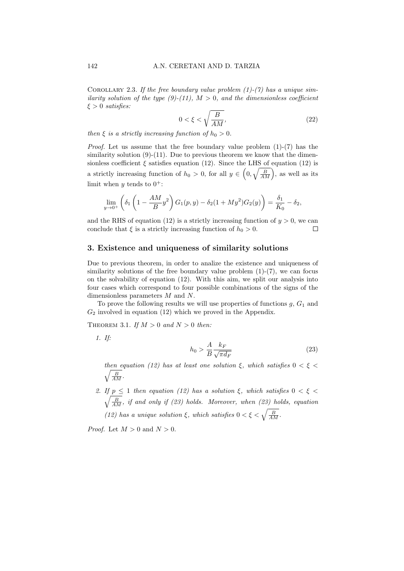COROLLARY 2.3. If the free boundary value problem  $(1)-(7)$  has a unique similarity solution of the type  $(9)-(11)$ ,  $M > 0$ , and the dimensionless coefficient  $\xi > 0$  satisfies:

$$
0 < \xi < \sqrt{\frac{B}{AM}},\tag{22}
$$

then  $\xi$  is a strictly increasing function of  $h_0 > 0$ .

Proof. Let us assume that the free boundary value problem (1)-(7) has the similarity solution  $(9)-(11)$ . Due to previous theorem we know that the dimensionless coefficient  $\xi$  satisfies equation (12). Since the LHS of equation (12) is a strictly increasing function of  $h_0 > 0$ , for all  $y \in \left(0, \sqrt{\frac{B}{AM}}\right)$ , as well as its limit when  $y$  tends to  $0^+$ :

$$
\lim_{y \to 0^+} \left( \delta_1 \left( 1 - \frac{AM}{B} y^2 \right) G_1(p, y) - \delta_2 (1 + My^2) G_2(y) \right) = \frac{\delta_1}{K_0} - \delta_2,
$$

and the RHS of equation (12) is a strictly increasing function of  $y > 0$ , we can conclude that  $\xi$  is a strictly increasing function of  $h_0 > 0$ .  $\Box$ 

### 3. Existence and uniqueness of similarity solutions

Due to previous theorem, in order to analize the existence and uniqueness of similarity solutions of the free boundary value problem  $(1)-(7)$ , we can focus on the solvability of equation (12). With this aim, we split our analysis into four cases which correspond to four possible combinations of the signs of the dimensionless parameters M and N.

To prove the following results we will use properties of functions  $g, G_1$  and  $G_2$  involved in equation (12) which we proved in the Appendix.

THEOREM 3.1. If  $M > 0$  and  $N > 0$  then:

1. If:

$$
h_0 > \frac{A}{B} \frac{k_F}{\sqrt{\pi d_F}}\tag{23}
$$

then equation (12) has at least one solution  $\xi$ , which satisfies  $0 < \xi <$  $\sqrt{\frac{B}{AM}}$ .

2. If  $p \leq 1$  then equation (12) has a solution  $\xi$ , which satisfies  $0 < \xi <$  $\sqrt{\frac{B}{AM}}$ , if and only if (23) holds. Moreover, when (23) holds, equation (12) has a unique solution  $\xi$ , which satisfies  $0 < \xi < \sqrt{\frac{B}{AM}}$ .

*Proof.* Let  $M > 0$  and  $N > 0$ .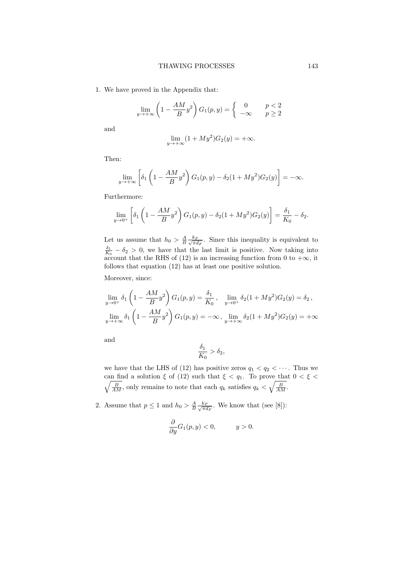1. We have proved in the Appendix that:

$$
\lim_{y \to +\infty} \left(1 - \frac{AM}{B}y^2\right) G_1(p, y) = \begin{cases} 0 & p < 2 \\ -\infty & p \ge 2 \end{cases}
$$

and

$$
\lim_{y \to +\infty} (1 + My^2)G_2(y) = +\infty.
$$

Then:

$$
\lim_{y \to +\infty} \left[ \delta_1 \left( 1 - \frac{AM}{B} y^2 \right) G_1(p, y) - \delta_2 (1 + My^2) G_2(y) \right] = -\infty.
$$

Furthermore:

$$
\lim_{y \to 0^+} \left[ \delta_1 \left( 1 - \frac{AM}{B} y^2 \right) G_1(p, y) - \delta_2 (1 + My^2) G_2(y) \right] = \frac{\delta_1}{K_0} - \delta_2.
$$

Let us assume that  $h_0 > \frac{A}{B} \frac{k_F}{\sqrt{\pi a}}$  $\frac{k_F}{\pi d_F}$ . Since this inequality is equivalent to  $\frac{\delta_1}{K_0} - \delta_2 > 0$ , we have that the last limit is positive. Now taking into account that the RHS of (12) is an increasing function from 0 to  $+\infty$ , it follows that equation (12) has at least one positive solution.

Moreover, since:

$$
\lim_{y \to 0^+} \delta_1 \left( 1 - \frac{AM}{B} y^2 \right) G_1(p, y) = \frac{\delta_1}{K_0}, \quad \lim_{y \to 0^+} \delta_2 (1 + My^2) G_2(y) = \delta_2,
$$
\n
$$
\lim_{y \to +\infty} \delta_1 \left( 1 - \frac{AM}{B} y^2 \right) G_1(p, y) = -\infty, \quad \lim_{y \to +\infty} \delta_2 (1 + My^2) G_2(y) = +\infty
$$

and

$$
\frac{\delta_1}{K_0} > \delta_2,
$$

we have that the LHS of (12) has positive zeros  $q_1 < q_2 < \cdots$ . Thus we  $\frac{1}{2}$ can find a solution  $\xi$  of (12) such that  $\xi < q_1$ . To prove that  $0 < \xi <$  $\frac{B}{AM}$ , only remains to note that each  $q_k$  satisfies  $q_k < \sqrt{\frac{B}{AM}}$ .

2. Assume that  $p \leq 1$  and  $h_0 > \frac{A}{B} \frac{k_F}{\sqrt{\pi a}}$  $\frac{k_F}{\pi d_F}$ . We know that (see [8]):

$$
\frac{\partial}{\partial y}G_1(p, y) < 0, \quad y > 0.
$$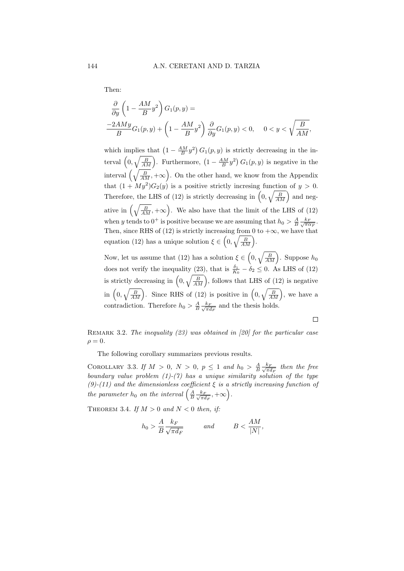Then:

$$
\frac{\partial}{\partial y} \left( 1 - \frac{AM}{B} y^2 \right) G_1(p, y) =
$$
\n
$$
\frac{-2AMy}{B} G_1(p, y) + \left( 1 - \frac{AM}{B} y^2 \right) \frac{\partial}{\partial y} G_1(p, y) < 0, \quad 0 < y < \sqrt{\frac{B}{AM}},
$$

which implies that  $\left(1 - \frac{AM}{B}y^2\right) G_1(p, y)$  is strictly decreasing in the interval  $\left(0, \sqrt{\frac{B}{AM}}\right)$ . Furthermore,  $\left(1 - \frac{AM}{B}y^2\right) G_1(p, y)$  is negative in the interval  $\left(\sqrt{\frac{B}{AM}} , +\infty\right)$ . On the other hand, we know from the Appendix that  $(1 + My^2)G_2(y)$  is a positive strictly incresing function of  $y > 0$ . Therefore, the LHS of (12) is strictly decreasing in  $\left(0, \sqrt{\frac{B}{AM}}\right)$  and negative in  $\left(\sqrt{\frac{B}{AM}} , +\infty\right)$ . We also have that the limit of the LHS of (12) when y tends to  $0^+$  is positive because we are assuming that  $h_0 > \frac{A}{B} \frac{k_F}{\sqrt{\pi \alpha_F}}$ . Then, since RHS of (12) is strictly increasing from 0 to  $+\infty$ , we have that equation (12) has a unique solution  $\xi \in \left(0, \sqrt{\frac{B}{AM}}\right)$ .

Now, let us assume that (12) has a solution  $\xi \in \left(0, \sqrt{\frac{B}{AM}}\right)$ . Suppose  $h_0$ does not verify the inequality (23), that is  $\frac{\delta_1}{K_0} - \delta_2 \leq 0$ . As LHS of (12) is strictly decreasing in  $\left(0, \sqrt{\frac{B}{AM}}\right)$ , follows that LHS of (12) is negative in  $\left(0, \sqrt{\frac{B}{AM}}\right)$ . Since RHS of (12) is positive in  $\left(0, \sqrt{\frac{B}{AM}}\right)$ , we have a contradiction. Therefore  $h_0 > \frac{A}{B} \frac{k_F}{\sqrt{\pi \epsilon}}$  $\frac{k_F}{\pi d_F}$  and the thesis holds.

REMARK 3.2. The inequality  $(23)$  was obtained in [20] for the particular case  $\rho = 0.$ 

The following corollary summarizes previous results.

COROLLARY 3.3. If  $M > 0$ ,  $N > 0$ ,  $p \leq 1$  and  $h_0 > \frac{A}{B} \frac{k_F}{\sqrt{\pi a}}$  $\frac{k_F}{\pi d_F}$  then the free boundary value problem  $(1)-(7)$  has a unique similarity solution of the type (9)-(11) and the dimensionless coefficient  $\xi$  is a strictly increasing function of the parameter  $h_0$  on the interval  $\left(\frac{A}{B}\frac{k_E}{\sqrt{\pi a}}\right)$  $\frac{k_F}{\pi d_F},+\infty\Big).$ 

THEOREM 3.4. If  $M > 0$  and  $N < 0$  then, if:

 $\overline{I}$ 

$$
a_0 > \frac{A}{B} \frac{k_F}{\sqrt{\pi d_F}}
$$
 and  $B < \frac{AM}{|N|}$ ,

 $\Box$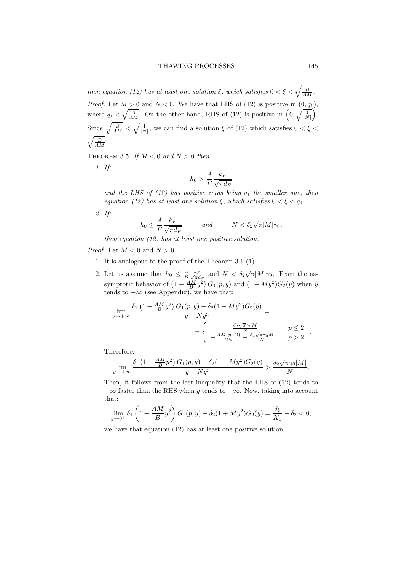#### THAWING PROCESSES 145

then equation (12) has at least one solution  $\xi$ , which satisfies  $0 < \xi < \sqrt{\frac{B}{AM}}$ . *Proof.* Let  $M > 0$  and  $N < 0$ . We have that LHS of (12) is positive in  $(0, q_1)$ , where  $q_1 < \sqrt{\frac{B}{AM}}$ . On the other hand, RHS of (12) is positive in  $\left(0, \sqrt{\frac{1}{|N|}}\right)$ . Since  $\sqrt{\frac{B}{AM}} < \sqrt{\frac{1}{|N|}}$ , we can find a solution  $\xi$  of (12) which satisfies  $0 < \xi <$  $\sqrt{\frac{B}{AM}}$ .  $\Box$ 

THEOREM 3.5. If  $M < 0$  and  $N > 0$  then:

1. If:

$$
h_0 > \frac{A}{B} \frac{k_F}{\sqrt{\pi d_F}}
$$

and the LHS of  $(12)$  has positive zeros being  $q_1$  the smaller one, then equation (12) has at least one solution  $\xi$ , which satisfies  $0 < \xi < q_1$ .

2. If:

$$
h_0 \le \frac{A}{B} \frac{k_F}{\sqrt{\pi d_F}} \qquad \text{and} \qquad N < \delta_2 \sqrt{\pi} |M| \gamma_0,
$$

then equation (12) has at least one positive solution.

*Proof.* Let  $M < 0$  and  $N > 0$ .

- 1. It is analogous to the proof of the Theorem 3.1 (1).
- 2. Let us assume that  $h_0 \leq \frac{A}{B} \frac{k_F}{\sqrt{\pi \epsilon}}$  $\frac{k_F}{\pi d_F}$  and  $N < \delta_2 \sqrt{\pi} |M| \gamma_0$ . From the assymptotic behavior of  $(1 - \frac{AM}{B}y^2) G_1(p, y)$  and  $(1 + My^2) G_2(y)$  when y tends to  $+\infty$  (see Appendix), we have that:

$$
\lim_{y \to +\infty} \frac{\delta_1 \left(1 - \frac{AM}{B} y^2\right) G_1(p, y) - \delta_2 (1 + My^2) G_2(y)}{y + Ny^3} =
$$
\n
$$
= \begin{cases}\n-\frac{\delta_2 \sqrt{\pi} \gamma_0 M}{N} & p \le 2 \\
-\frac{AM(p-2)}{BN} - \frac{\delta_2 \sqrt{\pi} \gamma_0 M}{N} & p > 2\n\end{cases}
$$

Therefore:

$$
\lim_{y \to +\infty} \frac{\delta_1 \left(1 - \frac{AM}{B}y^2\right) G_1(p, y) - \delta_2 (1 + My^2) G_2(y)}{y + Ny^3} > \frac{\delta_2 \sqrt{\pi} \gamma_0 |M|}{N}.
$$

Then, it follows from the last inequality that the LHS of (12) tends to  $+\infty$  faster than the RHS when y tends to  $+\infty$ . Now, taking into account that:

$$
\lim_{y \to 0^+} \delta_1 \left( 1 - \frac{AM}{B} y^2 \right) G_1(p, y) - \delta_2 (1 + My^2) G_2(y) = \frac{\delta_1}{K_0} - \delta_2 < 0,
$$

we have that equation (12) has at least one positive solution.

.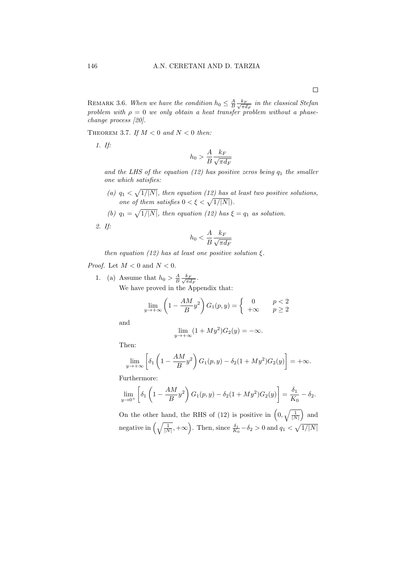REMARK 3.6. When we have the condition  $h_0 \leq \frac{A}{B} \frac{k_F}{\sqrt{\pi a}}$  $\frac{k_F}{\pi d_F}$  in the classical Stefan problem with  $\rho = 0$  we only obtain a heat transfer problem without a phasechange process [20].

THEOREM 3.7. If  $M < 0$  and  $N < 0$  then:

1. If:

$$
h_0 > \frac{A}{B} \frac{k_F}{\sqrt{\pi d_F}}
$$

and the LHS of the equation (12) has positive zeros being  $q_1$  the smaller one which satisfies:

- (a)  $q_1 < \sqrt{1/|N|}$ , then equation (12) has at least two positive solutions, one of them satisfies  $0 < \xi < \sqrt{1/|N|}$ .
- (b)  $q_1 = \sqrt{1/|N|}$ , then equation (12) has  $\xi = q_1$  as solution.

2. If:

$$
h_0 < \frac{A}{B} \frac{k_F}{\sqrt{\pi d_F}}
$$

then equation (12) has at least one positive solution  $\xi$ .

*Proof.* Let  $M < 0$  and  $N < 0$ .

1. (a) Assume that  $h_0 > \frac{A}{B} \frac{k_F}{\sqrt{\pi \epsilon}}$  $\frac{k_F}{\pi d_F}.$ We have proved in the Appendix that:

$$
\lim_{y \to +\infty} \left(1 - \frac{AM}{B}y^2\right) G_1(p, y) = \begin{cases} 0 & p < 2 \\ +\infty & p \ge 2 \end{cases}
$$

and

$$
\lim_{y \to +\infty} (1 + My^2)G_2(y) = -\infty.
$$

Then:

$$
\lim_{y \to +\infty} \left[ \delta_1 \left( 1 - \frac{AM}{B} y^2 \right) G_1(p, y) - \delta_2 (1 + My^2) G_2(y) \right] = +\infty.
$$

Furthermore:

$$
\lim_{y \to 0^+} \left[ \delta_1 \left( 1 - \frac{AM}{B} y^2 \right) G_1(p, y) - \delta_2 (1 + My^2) G_2(y) \right] = \frac{\delta_1}{K_0} - \delta_2.
$$

On the other hand, the RHS of (12) is positive in  $\left(0, \sqrt{\frac{1}{|N|}}\right)$  and negative in  $\left(\sqrt{\frac{1}{|N|}}, +\infty\right)$ . Then, since  $\frac{\delta_1}{K_0} - \delta_2 > 0$  and  $q_1 < \sqrt{1/|N|}$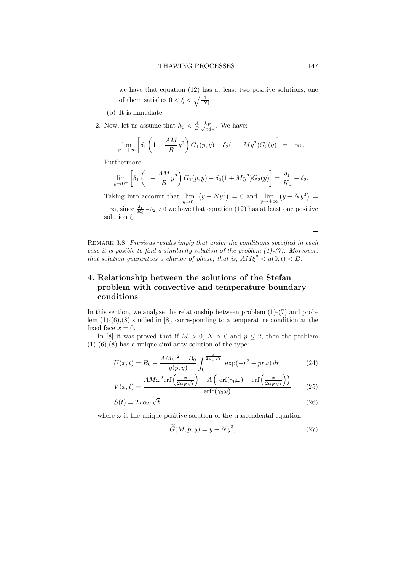we have that equation (12) has at least two positive solutions, one of them satisfies  $0 < \xi < \sqrt{\frac{1}{|N|}}$ .

- (b) It is inmediate.
- 2. Now, let us assume that  $h_0 < \frac{A}{B} \frac{k_F}{\sqrt{\pi a}}$  $\frac{k_F}{\pi d_F}$ . We have:

$$
\lim_{y \to +\infty} \left[ \delta_1 \left( 1 - \frac{AM}{B} y^2 \right) G_1(p, y) - \delta_2 (1 + My^2) G_2(y) \right] = +\infty.
$$

Furthermore:

$$
\lim_{y \to 0^+} \left[ \delta_1 \left( 1 - \frac{AM}{B} y^2 \right) G_1(p, y) - \delta_2 (1 + My^2) G_2(y) \right] = \frac{\delta_1}{K_0} - \delta_2.
$$

Taking into account that  $\lim_{y \to 0^+} (y + Ny^3) = 0$  and  $\lim_{y \to +\infty} (y + Ny^3) =$  $-\infty$ , since  $\frac{\delta_1}{K_0} - \delta_2 < 0$  we have that equation (12) has at least one positive solution  $\xi$ .

 $\Box$ 

REMARK 3.8. Previous results imply that under the conditions specified in each case it is posible to find a similarity solution of the problem  $(1)-(7)$ . Moreover, that solution guarantees a change of phase, that is,  $AM\xi^2 < u(0, t) < B$ .

## 4. Relationship between the solutions of the Stefan problem with convective and temperature boundary conditions

In this section, we analyze the relationship between problem (1)-(7) and problem (1)-(6),(8) studied in [8], corresponding to a temperature condition at the fixed face  $x = 0$ .

In [8] it was proved that if  $M > 0$ ,  $N > 0$  and  $p \leq 2$ , then the problem  $(1)-(6)$ ,  $(8)$  has a unique similarity solution of the type:

$$
U(x,t) = B_0 + \frac{AM\omega^2 - B_0}{g(p,y)} \int_0^{\frac{x}{2\alpha_U \sqrt{t}}} \exp(-r^2 + pr\omega) dr
$$
 (24)

$$
V(x,t) = \frac{AM\omega^2 \text{erf}\left(\frac{x}{2\alpha_F\sqrt{t}}\right) + A\left(\text{erf}(\gamma_0\omega) - \text{erf}\left(\frac{x}{2\alpha_F\sqrt{t}}\right)\right)}{\text{erfc}(\gamma_0\omega)}\tag{25}
$$

$$
S(t) = 2\omega\alpha_U\sqrt{t}
$$
\n(26)

where  $\omega$  is the unique positive solution of the trascendental equation:

$$
\widetilde{G}(M, p, y) = y + Ny^3,\tag{27}
$$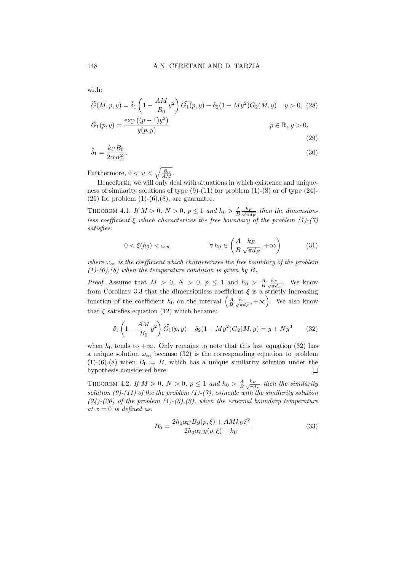with:

$$
\widetilde{G}(M, p, y) = \widetilde{\delta}_1 \left( 1 - \frac{AM}{B_0} y^2 \right) \widetilde{G}_1(p, y) - \delta_2 (1 + My^2) G_2(M, y) \quad y > 0,\tag{28}
$$
\n
$$
\widetilde{G}_1(p, y) = \frac{\exp\left((p - 1)y^2\right)}{g(p, y)}
$$
\n
$$
p \in \mathbb{R}, \ y > 0,
$$

$$
\tilde{\delta}_1 = \frac{k_U B_0}{2\alpha \alpha_U^2}.\tag{30}
$$

(29)

Furthermore,  $0 < \omega < \sqrt{\frac{B_0}{AM}}$ .

Henceforth, we will only deal with situations in which existence and uniqueness of similarity solutions of type  $(9)-(11)$  for problem  $(1)-(8)$  or of type  $(24)$ - $(26)$  for problem  $(1)-(6),(8)$ , are guarantee.

THEOREM 4.1. If  $M > 0$ ,  $N > 0$ ,  $p \leq 1$  and  $h_0 > \frac{A}{B} \frac{k_F}{\sqrt{\pi \epsilon}}$  $\frac{k_F}{\pi d_F}$  then the dimensionless coefficient  $\xi$  which characterizes the free boundary of the problem (1)-(7) satisfies:

$$
0 < \xi(h_0) < \omega_\infty \qquad \qquad \forall \, h_0 \in \left(\frac{A}{B} \frac{k_F}{\sqrt{\pi d_F}}, +\infty\right) \tag{31}
$$

where  $\omega_{\infty}$  is the coefficient which characterizes the free boundary of the problem  $(1)-(6),(8)$  when the temperature condition is given by B.

*Proof.* Assume that  $M > 0$ ,  $N > 0$ ,  $p \le 1$  and  $h_0 > \frac{A}{B} \frac{k_F}{\sqrt{\pi a}}$  $\frac{k_F}{\pi d_F}$ . We know from Corollary 3.3 that the dimensionless coefficient  $\xi$  is a strictly increasing function of the coefficient  $h_0$  on the interval  $\left(\frac{A}{B}\frac{k_B}{\sqrt{\pi a}}\right)$  $\left(\frac{k_F}{\pi d_F}, +\infty\right)$ . We also know that  $\xi$  satisfies equation (12) which became:

$$
\delta_1 \left( 1 - \frac{AM}{B_0} y^2 \right) \widetilde{G}_1(p, y) - \delta_2 (1 + My^2) G_2(M, y) = y + Ny^3 \tag{32}
$$

when  $h_0$  tends to + $\infty$ . Only remains to note that this last equation (32) has a unique solution  $\omega_{\infty}$  because (32) is the corresponding equation to problem  $(1)-(6)$ , (8) when  $B_0 = B$ , which has a unique similarity solution under the hypothesis considered here.  $\Box$ 

THEOREM 4.2. If  $M > 0$ ,  $N > 0$ ,  $p \le 1$  and  $h_0 > \frac{A}{B} \frac{k_F}{\sqrt{\pi \epsilon}}$  $\frac{k_F}{\pi d_F}$  then the similarity solution (9)-(11) of the the problem (1)-(7), coincide with the similarity solution  $(24)-(26)$  of the problem  $(1)-(6),(8)$ , when the external boundary temperature at  $x = 0$  is defined as:

$$
B_0 = \frac{2h_0\alpha_U Bg(p,\xi) + AMk_U\xi^2}{2h_0\alpha_U g(p,\xi) + k_U}
$$
\n(33)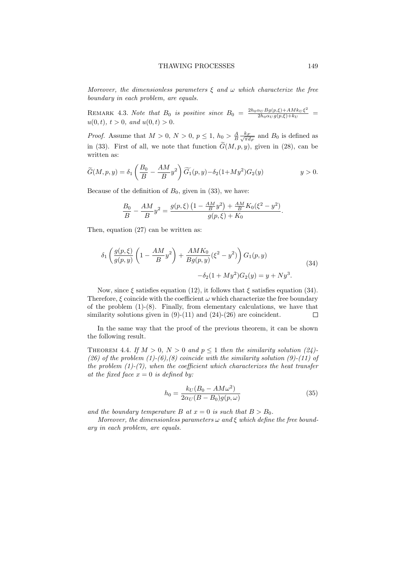Moreover, the dimensionless parameters  $\xi$  and  $\omega$  which characterize the free boundary in each problem, are equals.

REMARK 4.3. Note that  $B_0$  is positive since  $B_0 = \frac{2h_0\alpha_U Bg(p,\xi) + AMk_U\xi^2}{2h_0\alpha_U g(p,\xi) + k_U}$  $\frac{\alpha_U B g(p,\xi) + A M k_U \xi}{2 h_0 \alpha_U g(p,\xi) + k_U} =$  $u(0, t), t > 0, \text{ and } u(0, t) > 0.$ 

*Proof.* Assume that  $M > 0, N > 0, p \le 1, h_0 > \frac{A}{B} \frac{k_F}{\sqrt{\pi \epsilon}}$  $\frac{k_F}{\pi d_F}$  and  $B_0$  is defined as in (33). First of all, we note that function  $\tilde{G}(M, p, y)$ , given in (28), can be written as:

$$
\widetilde{G}(M,p,y) = \delta_1 \left(\frac{B_0}{B} - \frac{AM}{B}y^2\right) \widetilde{G}_1(p,y) - \delta_2(1+My^2)G_2(y) \qquad y > 0.
$$

Because of the definition of  $B_0$ , given in (33), we have:

$$
\frac{B_0}{B} - \frac{AM}{B}y^2 = \frac{g(p,\xi)\left(1 - \frac{AM}{B}y^2\right) + \frac{AM}{B}K_0(\xi^2 - y^2)}{g(p,\xi) + K_0}.
$$

Then, equation (27) can be written as:

$$
\delta_1 \left( \frac{g(p,\xi)}{g(p,y)} \left( 1 - \frac{AM}{B} y^2 \right) + \frac{AMK_0}{Bg(p,y)} (\xi^2 - y^2) \right) G_1(p,y) - \delta_2 (1 + My^2) G_2(y) = y + Ny^3.
$$
\n(34)

Now, since  $\xi$  satisfies equation (12), it follows that  $\xi$  satisfies equation (34). Therefore,  $\xi$  coincide with the coefficient  $\omega$  which characterize the free boundary of the problem  $(1)-(8)$ . Finally, from elementary calculations, we have that similarity solutions given in  $(9)-(11)$  and  $(24)-(26)$  are coincident.  $\Box$ 

In the same way that the proof of the previous theorem, it can be shown the following result.

THEOREM 4.4. If  $M > 0$ ,  $N > 0$  and  $p \le 1$  then the similarity solution (24)-(26) of the problem  $(1)-(6)$ , (8) coincide with the similarity solution (9)-(11) of the problem  $(1)-(7)$ , when the coefficient which characterizes the heat transfer at the fixed face  $x = 0$  is defined by:

$$
h_0 = \frac{k_U (B_0 - AM\omega^2)}{2\alpha_U (B - B_0)g(p,\omega)}
$$
\n
$$
(35)
$$

and the boundary temperature B at  $x = 0$  is such that  $B > B_0$ .

Moreover, the dimensionless parameters  $\omega$  and  $\xi$  which define the free boundary in each problem, are equals.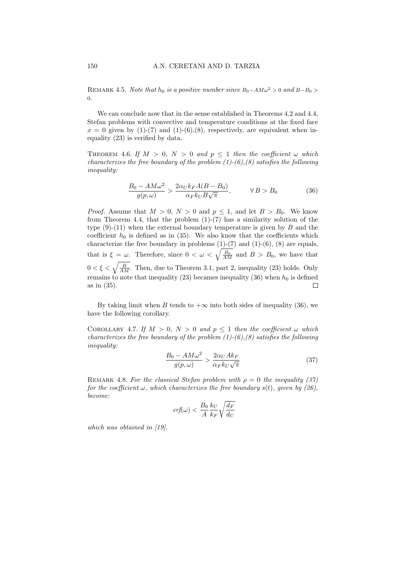REMARK 4.5. Note that  $h_0$  is a positive number since  $B_0-AM\omega^2 > 0$  and  $B-B_0 >$ 0.

We can conclude now that in the sense established in Theorems 4.2 and 4.4, Stefan problems with convective and temperature conditions at the fixed face  $x = 0$  given by (1)-(7) and (1)-(6),(8), respectively, are equivalent when inequality (23) is verified by data.

THEOREM 4.6. If  $M > 0$ ,  $N > 0$  and  $p \le 1$  then the coefficient  $\omega$  which characterizes the free boundary of the problem  $(1)-(6),(8)$  satisfies the following inequality:

$$
\frac{B_0 - AM\omega^2}{g(p,\omega)} > \frac{2\alpha_U k_F A(B - B_0)}{\alpha_F k_U B \sqrt{\pi}}, \qquad \forall B > B_0
$$
 (36)

*Proof.* Assume that  $M > 0$ ,  $N > 0$  and  $p \le 1$ , and let  $B > B_0$ . We know from Theorem 4.4, that the problem  $(1)-(7)$  has a similarity solution of the type  $(9)-(11)$  when the external boundary temperature is given by B and the coefficient  $h_0$  is defined as in (35). We also know that the coefficients which characterize the free boundary in problems  $(1)-(7)$  and  $(1)-(6)$ ,  $(8)$  are equals, that is  $\xi = \omega$ . Therefore, since  $0 < \omega < \sqrt{\frac{B_0}{AM}}$  and  $B > B_0$ , we have that  $0 < \xi < \sqrt{\frac{B}{AM}}$ . Then, due to Theorem 3.1, part 2, inequality (23) holds. Only remains to note that inequality (23) becames inequality (36) when  $h_0$  is defined as in (35).  $\Box$ 

By taking limit when B tends to  $+\infty$  into both sides of inequality (36), we have the following corollary.

COROLLARY 4.7. If  $M > 0$ ,  $N > 0$  and  $p \le 1$  then the coefficient  $\omega$  which characterizes the free boundary of the problem  $(1)-(6),(8)$  satisfies the following inequality:

$$
\frac{B_0 - AM\omega^2}{g(p,\omega)} > \frac{2\alpha_U Ak_F}{\alpha_F k_U \sqrt{\pi}}
$$
(37)

REMARK 4.8. For the classical Stefan problem with  $\rho = 0$  the inequality (37) for the coefficient  $\omega$ , which characterizes the free boundary s(t), given by (26), become:

$$
\text{erf}(\omega) < \frac{B_0}{A} \frac{k_U}{k_F} \sqrt{\frac{d_F}{d_U}}
$$

which was obtained in [19].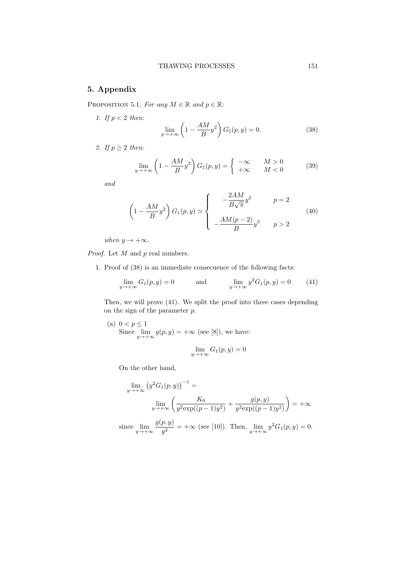### 5. Appendix

PROPOSITION 5.1. For any  $M \in \mathbb{R}$  and  $p \in \mathbb{R}$ :

$$
\lim_{y \to +\infty} \left(1 - \frac{AM}{B}y^2\right) G_1(p, y) = 0. \tag{38}
$$

2. If  $p \geq 2$  then:

1. If  $p < 2$  then:

$$
\lim_{y \to +\infty} \left(1 - \frac{AM}{B}y^2\right) G_1(p, y) = \begin{cases} -\infty & M > 0\\ +\infty & M < 0 \end{cases} \tag{39}
$$

and

$$
\left(1 - \frac{AM}{B}y^2\right)G_1(p, y) \simeq \begin{cases}\n-\frac{2AM}{B\sqrt{\pi}}y^2 & p = 2\\
-\frac{AM(p-2)}{B}y^3 & p > 2\n\end{cases}
$$
\n(40)

when  $y \to +\infty$ .

*Proof.* Let  $M$  and  $p$  real numbers.

1. Proof of (38) is an immediate consecuence of the following facts:

$$
\lim_{y \to +\infty} G_1(p, y) = 0 \quad \text{and} \quad \lim_{y \to +\infty} y^2 G_1(p, y) = 0 \quad (41)
$$

Then, we will prove (41). We split the proof into three cases depending on the sign of the parameter p.

(a) 
$$
0 < p \le 1
$$
  
Since  $\lim_{y \to +\infty} g(p, y) = +\infty$  (see [8]), we have:

$$
\lim_{y \to +\infty} G_1(p, y) = 0
$$

On the other hand,

$$
\lim_{y \to +\infty} (y^2 G_1(p, y))^{-1} =
$$
  

$$
\lim_{y \to +\infty} \left( \frac{K_0}{y^2 \exp((p-1)y^2)} + \frac{g(p, y)}{y^2 \exp((p-1)y^2)} \right) = +\infty
$$

since  $\lim_{y \to +\infty} \frac{g(p, y)}{y^2}$  $y^{(p, y)} = +\infty$  (see [10]). Then,  $\lim_{y \to +\infty} y^2 G_1(p, y) = 0$ .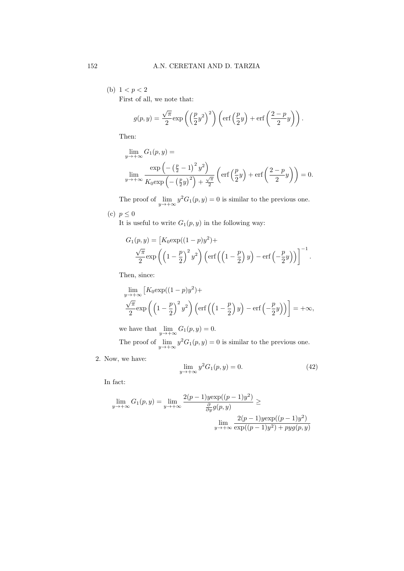(b)  $1 < p < 2$ First of all, we note that:

> $g(p, y) =$  $\sqrt{\pi}$  $\sqrt{\frac{\pi}{2}} \exp\left(\left(\frac{p}{2}y^2\right)^2\right) \left(\text{erf}\left(\frac{p}{2}y\right) + \text{erf}\left(\frac{2-p}{2}\right)\right)$  $\left(\frac{-p}{2}y\right)\right).$

Then:

$$
\lim_{y \to +\infty} G_1(p, y) =
$$
\n
$$
\lim_{y \to +\infty} \frac{\exp\left(-\left(\frac{p}{2} - 1\right)^2 y^2\right)}{K_0 \exp\left(-\left(\frac{p}{2}y\right)^2\right) + \frac{\sqrt{\pi}}{2}} \left(\operatorname{erf}\left(\frac{p}{2}y\right) + \operatorname{erf}\left(\frac{2-p}{2}y\right)\right) = 0.
$$

The proof of  $\lim_{y \to +\infty} y^2 G_1(p, y) = 0$  is similar to the previous one.

(c)  $p \leq 0$ 

It is useful to write  $G_1(p, y)$  in the following way:

$$
G_1(p, y) = \left[K_0 \exp((1-p)y^2) + \frac{\sqrt{\pi}}{2} \exp\left(\left(1-\frac{p}{2}\right)y^2\right) \left(\text{erf}\left(\left(1-\frac{p}{2}\right)y\right) - \text{erf}\left(-\frac{p}{2}y\right)\right)\right]^{-1}.
$$

Then, since:

$$
\lim_{y \to +\infty} \left[ K_0 \exp((1-p)y^2) + \frac{\sqrt{\pi}}{2} \exp\left( \left(1 - \frac{p}{2}\right)^2 y^2 \right) \left( \text{erf}\left( \left(1 - \frac{p}{2}\right)y \right) - \text{erf}\left( -\frac{p}{2}y \right) \right) \right] = +\infty,
$$

we have that  $\lim_{y \to +\infty} G_1(p, y) = 0.$ 

The proof of  $\lim_{y \to +\infty} y^2 G_1(p, y) = 0$  is similar to the previous one.

2. Now, we have:

$$
\lim_{y \to +\infty} y^2 G_1(p, y) = 0. \tag{42}
$$

In fact:

$$
\lim_{y \to +\infty} G_1(p, y) = \lim_{y \to +\infty} \frac{2(p-1)y \exp((p-1)y^2)}{\frac{\partial}{\partial y} g(p, y)} \ge \lim_{\substack{y \to +\infty}} \frac{2(p-1)y \exp((p-1)y^2)}{\exp((p-1)y^2) + pyg(p, y)}
$$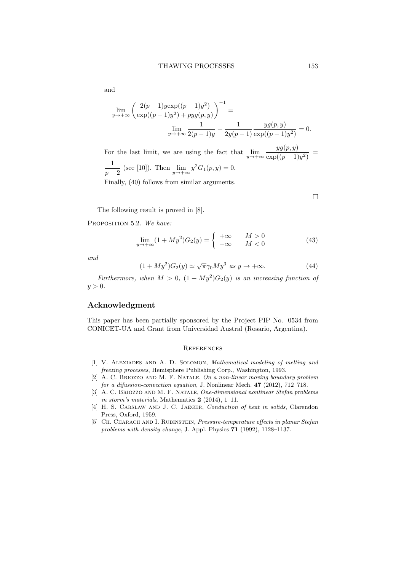and

$$
\lim_{y \to +\infty} \left( \frac{2(p-1)y \exp((p-1)y^2)}{\exp((p-1)y^2) + pyg(p,y)} \right)^{-1} =
$$
  

$$
\lim_{y \to +\infty} \frac{1}{2(p-1)y} + \frac{1}{2y(p-1)} \frac{yg(p,y)}{\exp((p-1)y^2)} = 0.
$$

For the last limit, we are using the fact that  $\lim_{y \to +\infty} \frac{yg(p, y)}{\exp((p-1))}$  $\frac{y g(p, y)}{\exp((p-1)y^2)}$  = 1  $\frac{1}{p-2}$  (see [10]). Then  $\lim_{y \to +\infty} y^2 G_1(p, y) = 0.$ Finally, (40) follows from similar arguments.

The following result is proved in [8].

PROPOSITION 5.2. We have:

$$
\lim_{y \to +\infty} (1 + My^2)G_2(y) = \begin{cases} +\infty & M > 0\\ -\infty & M < 0 \end{cases} \tag{43}
$$

and

$$
(1 + My2)G2(y) \simeq \sqrt{\pi} \gamma_0 My3 \text{ as } y \to +\infty.
$$
 (44)

Furthermore, when  $M > 0$ ,  $(1 + My^2)G_2(y)$  is an increasing function of  $y > 0$ .

### Acknowledgment

This paper has been partially sponsored by the Project PIP No. 0534 from CONICET-UA and Grant from Universidad Austral (Rosario, Argentina).

#### **REFERENCES**

- [1] V. ALEXIADES AND A. D. SOLOMON, Mathematical modeling of melting and freezing processes, Hemisphere Publishing Corp., Washington, 1993.
- [2] A. C. Briozzo and M. F. Natale, On a non-linear moving boundary problem for a difussion-convection equation, J. Nonlinear Mech. 47 (2012), 712–718.
- [3] A. C. Briozzo and M. F. Natale, One-dimensional nonlinear Stefan problems in storm's materials, Mathematics  $2$  (2014), 1–11.
- [4] H. S. CARSLAW AND J. C. JAEGER, Conduction of heat in solids, Clarendon Press, Oxford, 1959.
- [5] CH. CHARACH AND I. RUBINSTEIN, Pressure-temperature effects in planar Stefan problems with density change, J. Appl. Physics 71 (1992), 1128–1137.

 $\Box$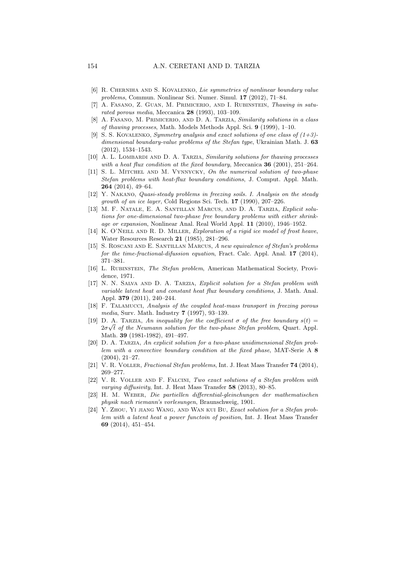- [6] R. CHERNIHA AND S. KOVALENKO, Lie symmetries of nonlinear boundary value problems, Commun. Nonlinear Sci. Numer. Simul. 17 (2012), 71–84.
- [7] A. FASANO, Z. GUAN, M. PRIMICERIO, AND I. RUBINSTEIN, Thawing in saturated porous media, Meccanica 28 (1993), 103–109.
- [8] A. Fasano, M. Primicerio, and D. A. Tarzia, Similarity solutions in a class of thawing processes, Math. Models Methods Appl. Sci. 9 (1999), 1–10.
- [9] S. S. KOVALENKO, Symmetry analysis and exact solutions of one class of  $(1+3)$ dimensional boundary-value problems of the Stefan type, Ukrainian Math. J. 63 (2012), 1534–1543.
- [10] A. L. LOMBARDI AND D. A. TARZIA, Similarity solutions for thawing processes with a heat flux condition at the fixed boundary, Meccanica 36 (2001), 251-264.
- [11] S. L. MITCHEL AND M. VYNNYCKY, On the numerical solution of two-phase Stefan problems with heat-flux boundary conditions, J. Comput. Appl. Math. 264 (2014), 49–64.
- [12] Y. NAKANO, Quasi-steady problems in freezing soils. I. Analysis on the steady growth of an ice layer, Cold Regions Sci. Tech. 17 (1990), 207–226.
- [13] M. F. Natale, E. A. Santillan Marcus, and D. A. Tarzia, Explicit solutions for one-dimensional two-phase free boundary problems with either shrinkage or expansion, Nonlinear Anal. Real World Appl. 11 (2010), 1946–1952.
- [14] K. O'NEILL AND R. D. MILLER, Exploration of a rigid ice model of frost heave, Water Resources Research 21 (1985), 281–296.
- [15] S. ROSCANI AND E. SANTILLAN MARCUS, A new equivalence of Stefan's problems for the time-fractional-difussion equation, Fract. Calc. Appl. Anal. 17 (2014), 371–381.
- [16] L. Rubinstein, The Stefan problem, American Mathematical Society, Providence, 1971.
- [17] N. N. Salva and D. A. Tarzia, Explicit solution for a Stefan problem with variable latent heat and constant heat flux boundary conditions, J. Math. Anal. Appl. 379 (2011), 240–244.
- [18] F. Talamucci, Analysis of the coupled heat-mass transport in freezing porous media, Surv. Math. Industry 7 (1997), 93–139.
- [19] D. A. TARZIA, An inequality for the coefficient  $\sigma$  of the free boundary  $s(t)$  =  $2\sigma\sqrt{t}$  of the Neumann solution for the two-phase Stefan problem, Quart. Appl. Math. 39 (1981-1982), 491–497.
- [20] D. A. Tarzia, An explicit solution for a two-phase unidimensional Stefan problem with a convective boundary condition at the fixed phase, MAT-Serie A 8 (2004), 21–27.
- [21] V. R. Voller, Fractional Stefan problems, Int. J. Heat Mass Transfer 74 (2014), 269–277.
- [22] V. R. Voller and F. Falcini, Two exact solutions of a Stefan problem with varying diffusivity, Int. J. Heat Mass Transfer 58 (2013), 80–85.
- [23] H. M. Weber, Die partiellen differential-gleinchungen der mathematischen physik nach riemann's vorlesungen, Braunschweig, 1901.
- [24] Y. Zhou, Yi jiang Wang, and Wan kui Bu, Exact solution for a Stefan problem with a latent heat a power functoin of position, Int. J. Heat Mass Transfer 69 (2014), 451–454.